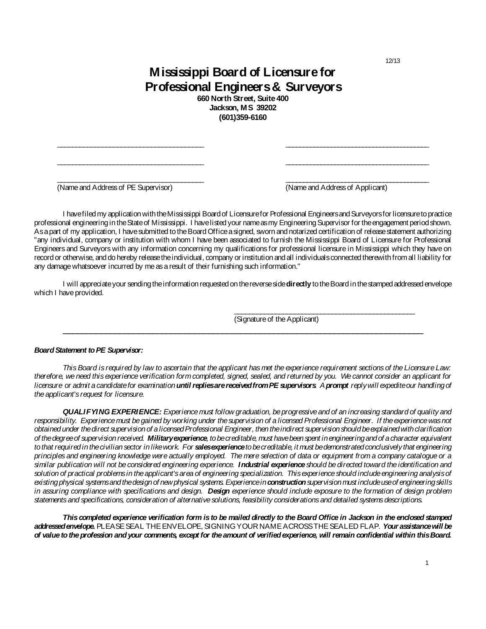12/13

## **Mississippi Board of Licensure for Professional Engineers & Surveyors**

**660 North Street, Suite 400 Jackson, MS 39202 (601)359-6160**

\_\_\_\_\_\_\_\_\_\_\_\_\_\_\_\_\_\_\_\_\_\_\_\_\_\_\_\_\_\_\_\_\_\_\_\_\_\_\_ \_\_\_\_\_\_\_\_\_\_\_\_\_\_\_\_\_\_\_\_\_\_\_\_\_\_\_\_\_\_\_\_\_\_\_\_\_\_\_\_\_

\_\_\_\_\_\_\_\_\_\_\_\_\_\_\_\_\_\_\_\_\_\_\_\_\_\_\_\_\_\_\_\_\_\_\_\_\_\_\_ \_\_\_\_\_\_\_\_\_\_\_\_\_\_\_\_\_\_\_\_\_\_\_\_\_\_\_\_\_\_\_\_\_\_\_\_\_\_\_\_\_

\_\_\_\_\_\_\_\_\_\_\_\_\_\_\_\_\_\_\_\_\_\_\_\_\_\_\_\_\_\_\_\_\_\_\_\_\_\_\_ \_\_\_\_\_\_\_\_\_\_\_\_\_\_\_\_\_\_\_\_\_\_\_\_\_\_\_\_\_\_\_\_\_\_\_\_\_\_\_\_\_

(Name and Address of PE Supervisor) (Name and Address of Applicant)

I have filed my application with the Mississippi Board of Licensure for Professional Engineers and Surveyors for licensure to practice professional engineering in the State of Mississippi. I have listed your name as my Engineering Supervisor for the engagement period shown. As a part of my application, I have submitted to the Board Office a signed, sworn and notarized certification of release statement authorizing "any individual, company or institution with whom I have been associated to furnish the Mississippi Board of Licensure for Professional Engineers and Surveyors with any information concerning my qualifications for professional licensure in Mississippi which they have on record or otherwise, and do hereby release the individual, company or institution and all individuals connected therewith from all liability for any damage whatsoever incurred by me as a result of their furnishing such information."

I will appreciate your sending the information requested on the reverse side **directly** to the Board in the stamped addressed envelope which I have provided.

\_\_\_\_\_\_\_\_\_\_\_\_\_\_\_\_\_\_\_\_\_\_\_\_\_\_\_\_\_\_\_\_\_\_\_\_\_\_\_\_\_\_\_\_\_\_\_\_\_\_\_\_\_\_\_\_\_\_\_\_\_\_\_\_\_\_\_\_\_\_\_\_\_\_\_\_\_

\_\_\_\_\_\_\_\_\_\_\_\_\_\_\_\_\_\_\_\_\_\_\_\_\_\_\_\_\_\_\_\_\_\_\_\_\_\_\_\_\_\_\_\_\_\_\_\_ (Signature of the Applicant)

## *Board Statement to PE Supervisor:*

*This Board is required by law to ascertain that the applicant has met the experience requirement sections of the Licensure Law: therefore, we need this experience verification form completed, signed, sealed, and returned by you. We cannot consider an applicant for licensure or admit a candidate for examination until replies are received from PE supervisors. A prompt reply will expedite our handling of the applicant's request for licensure.* 

*QUALIFYING EXPERIENCE: Experience must follow graduation, be progressive and of an increasing standard of quality and*  responsibility. Experience must be gained by working under the supervision of a licensed Professional Engineer. If the experience was not *obtained under the direct supervision of a licensed Professional Engineer, then the indirect supervision should be explained with clarification of the degree of supervision received. Military experience, to be creditable, must have been spent in engineering and of a character equivalent*  to that required in the civilian sector in like work. For **sales experience** to be creditable, it must be demonstrated conclusively that engineering *principles and engineering knowledge were actually employed. The mere selection of data or equipment from a company catalogue or a similar publication will not be considered engineering experience. Industrial experience should be directed toward the identification and solution of practical problems in the applicant's area of engineering specialization. This experience should include engineering analysis of*  existing physical systems and the design of new physical systems. Experience in **construction** supervision must include use of engineering skills *in assuring compliance with specifications and design. Design experience should include exposure to the formation of design problem statements and specifications, consideration of alternative solutions, feasibility considerations and detailed systems descriptions.*

*This completed experience verification form is to be mailed directly to the Board Office in Jackson in the enclosed stamped addressed envelope.*PLEASE SEAL THE ENVELOPE, SIGNING YOUR NAME ACROSS THE SEALED FLAP. *Your assistance will be of value to the profession and your comments, except for the amount of verified experience, will remain confidential within this Board.*